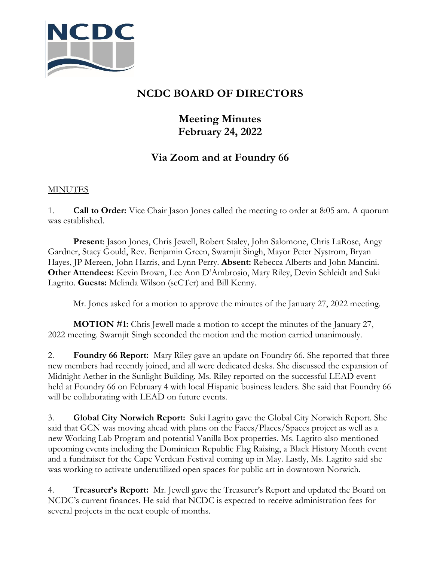

## **NCDC BOARD OF DIRECTORS**

## **Meeting Minutes February 24, 2022**

## **Via Zoom and at Foundry 66**

## MINUTES

1. **Call to Order:** Vice Chair Jason Jones called the meeting to order at 8:05 am. A quorum was established.

**Present**: Jason Jones, Chris Jewell, Robert Staley, John Salomone, Chris LaRose, Angy Gardner, Stacy Gould, Rev. Benjamin Green, Swarnjit Singh, Mayor Peter Nystrom, Bryan Hayes, JP Mereen, John Harris, and Lynn Perry. **Absent:** Rebecca Alberts and John Mancini. **Other Attendees:** Kevin Brown, Lee Ann D'Ambrosio, Mary Riley, Devin Schleidt and Suki Lagrito. **Guests:** Melinda Wilson (seCTer) and Bill Kenny.

Mr. Jones asked for a motion to approve the minutes of the January 27, 2022 meeting.

**MOTION #1:** Chris Jewell made a motion to accept the minutes of the January 27, 2022 meeting. Swarnjit Singh seconded the motion and the motion carried unanimously.

2. **Foundry 66 Report:** Mary Riley gave an update on Foundry 66. She reported that three new members had recently joined, and all were dedicated desks. She discussed the expansion of Midnight Aether in the Sunlight Building. Ms. Riley reported on the successful LEAD event held at Foundry 66 on February 4 with local Hispanic business leaders. She said that Foundry 66 will be collaborating with LEAD on future events.

3. **Global City Norwich Report:** Suki Lagrito gave the Global City Norwich Report. She said that GCN was moving ahead with plans on the Faces/Places/Spaces project as well as a new Working Lab Program and potential Vanilla Box properties. Ms. Lagrito also mentioned upcoming events including the Dominican Republic Flag Raising, a Black History Month event and a fundraiser for the Cape Verdean Festival coming up in May. Lastly, Ms. Lagrito said she was working to activate underutilized open spaces for public art in downtown Norwich.

4. **Treasurer's Report:** Mr. Jewell gave the Treasurer's Report and updated the Board on NCDC's current finances. He said that NCDC is expected to receive administration fees for several projects in the next couple of months.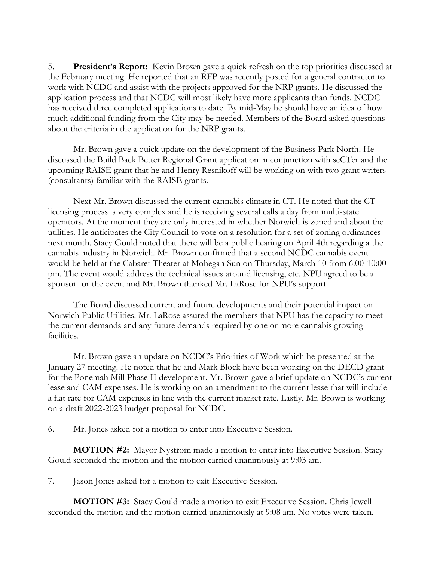5. **President's Report:** Kevin Brown gave a quick refresh on the top priorities discussed at the February meeting. He reported that an RFP was recently posted for a general contractor to work with NCDC and assist with the projects approved for the NRP grants. He discussed the application process and that NCDC will most likely have more applicants than funds. NCDC has received three completed applications to date. By mid-May he should have an idea of how much additional funding from the City may be needed. Members of the Board asked questions about the criteria in the application for the NRP grants.

Mr. Brown gave a quick update on the development of the Business Park North. He discussed the Build Back Better Regional Grant application in conjunction with seCTer and the upcoming RAISE grant that he and Henry Resnikoff will be working on with two grant writers (consultants) familiar with the RAISE grants.

Next Mr. Brown discussed the current cannabis climate in CT. He noted that the CT licensing process is very complex and he is receiving several calls a day from multi-state operators. At the moment they are only interested in whether Norwich is zoned and about the utilities. He anticipates the City Council to vote on a resolution for a set of zoning ordinances next month. Stacy Gould noted that there will be a public hearing on April 4th regarding a the cannabis industry in Norwich. Mr. Brown confirmed that a second NCDC cannabis event would be held at the Cabaret Theater at Mohegan Sun on Thursday, March 10 from 6:00-10:00 pm. The event would address the technical issues around licensing, etc. NPU agreed to be a sponsor for the event and Mr. Brown thanked Mr. LaRose for NPU's support.

The Board discussed current and future developments and their potential impact on Norwich Public Utilities. Mr. LaRose assured the members that NPU has the capacity to meet the current demands and any future demands required by one or more cannabis growing facilities.

Mr. Brown gave an update on NCDC's Priorities of Work which he presented at the January 27 meeting. He noted that he and Mark Block have been working on the DECD grant for the Ponemah Mill Phase II development. Mr. Brown gave a brief update on NCDC's current lease and CAM expenses. He is working on an amendment to the current lease that will include a flat rate for CAM expenses in line with the current market rate. Lastly, Mr. Brown is working on a draft 2022-2023 budget proposal for NCDC.

6. Mr. Jones asked for a motion to enter into Executive Session.

**MOTION #2:** Mayor Nystrom made a motion to enter into Executive Session. Stacy Gould seconded the motion and the motion carried unanimously at 9:03 am.

7. Jason Jones asked for a motion to exit Executive Session.

**MOTION #3:** Stacy Gould made a motion to exit Executive Session. Chris Jewell seconded the motion and the motion carried unanimously at 9:08 am. No votes were taken.